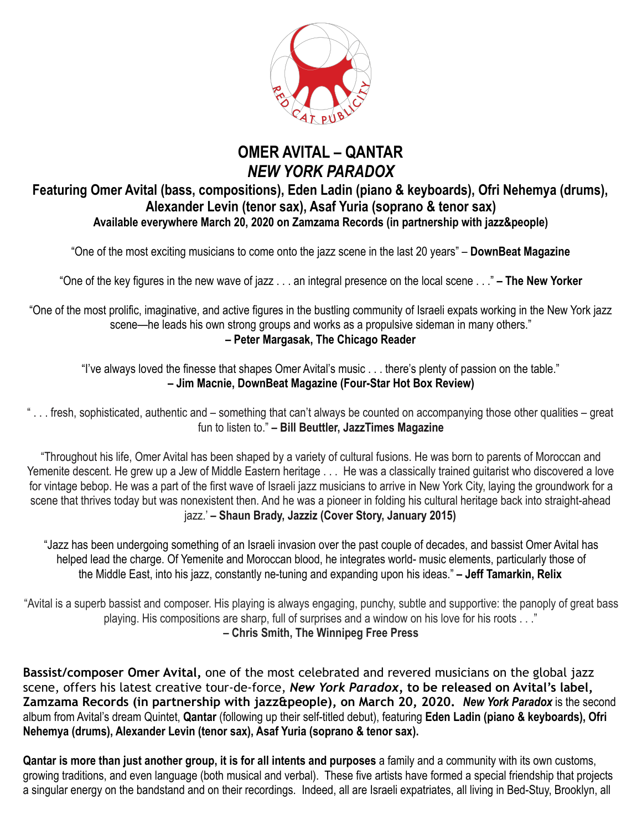

## **OMER AVITAL – QANTAR**  *NEW YORK PARADOX*

## **Featuring Omer Avital (bass, compositions), Eden Ladin (piano & keyboards), Ofri Nehemya (drums), Alexander Levin (tenor sax), Asaf Yuria (soprano & tenor sax) Available everywhere March 20, 2020 on Zamzama Records (in partnership with jazz&people)**

"One of the most exciting musicians to come onto the jazz scene in the last 20 years" – **DownBeat Magazine**

"One of the key figures in the new wave of jazz . . . an integral presence on the local scene . . ." **– The New Yorker** 

"One of the most prolific, imaginative, and active figures in the bustling community of Israeli expats working in the New York jazz scene—he leads his own strong groups and works as a propulsive sideman in many others." **– Peter Margasak, The Chicago Reader** 

"I've always loved the finesse that shapes Omer Avital's music . . . there's plenty of passion on the table." **– Jim Macnie, DownBeat Magazine (Four-Star Hot Box Review)** 

" . . . fresh, sophisticated, authentic and – something that can't always be counted on accompanying those other qualities – great fun to listen to." **– Bill Beuttler, JazzTimes Magazine**

"Throughout his life, Omer Avital has been shaped by a variety of cultural fusions. He was born to parents of Moroccan and Yemenite descent. He grew up a Jew of Middle Eastern heritage . . . He was a classically trained guitarist who discovered a love for vintage bebop. He was a part of the first wave of Israeli jazz musicians to arrive in New York City, laying the groundwork for a scene that thrives today but was nonexistent then. And he was a pioneer in folding his cultural heritage back into straight-ahead jazz.' **– Shaun Brady, Jazziz (Cover Story, January 2015)**

"Jazz has been undergoing something of an Israeli invasion over the past couple of decades, and bassist Omer Avital has helped lead the charge. Of Yemenite and Moroccan blood, he integrates world- music elements, particularly those of the Middle East, into his jazz, constantly ne-tuning and expanding upon his ideas." **– Jeff Tamarkin, Relix** 

"Avital is a superb bassist and composer. His playing is always engaging, punchy, subtle and supportive: the panoply of great bass playing. His compositions are sharp, full of surprises and a window on his love for his roots . . ." **– Chris Smith, The Winnipeg Free Press** 

**Bassist/composer Omer Avital,** one of the most celebrated and revered musicians on the global jazz scene, offers his latest creative tour-de-force, *New York Paradox,* **to be released on Avital's label, Zamzama Records (in partnership with jazz&people), on March 20, 2020.** *New York Paradox* is the second album from Avital's dream Quintet, **Qantar** (following up their self-titled debut), featuring **Eden Ladin (piano & keyboards), Ofri Nehemya (drums), Alexander Levin (tenor sax), Asaf Yuria (soprano & tenor sax).** 

**Qantar is more than just another group, it is for all intents and purposes** a family and a community with its own customs, growing traditions, and even language (both musical and verbal). These five artists have formed a special friendship that projects a singular energy on the bandstand and on their recordings. Indeed, all are Israeli expatriates, all living in Bed-Stuy, Brooklyn, all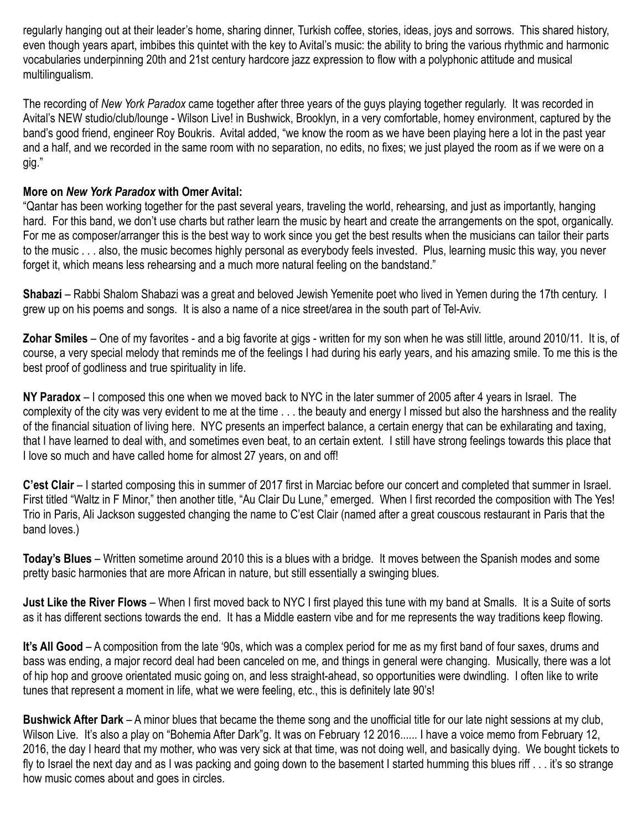regularly hanging out at their leader's home, sharing dinner, Turkish coffee, stories, ideas, joys and sorrows. This shared history, even though years apart, imbibes this quintet with the key to Avital's music: the ability to bring the various rhythmic and harmonic vocabularies underpinning 20th and 21st century hardcore jazz expression to flow with a polyphonic attitude and musical multilingualism.

The recording of *New York Paradox* came together after three years of the guys playing together regularly. It was recorded in Avital's NEW studio/club/lounge - Wilson Live! in Bushwick, Brooklyn, in a very comfortable, homey environment, captured by the band's good friend, engineer Roy Boukris. Avital added, "we know the room as we have been playing here a lot in the past year and a half, and we recorded in the same room with no separation, no edits, no fixes; we just played the room as if we were on a gig."

## **More on** *New York Paradox* **with Omer Avital:**

"Qantar has been working together for the past several years, traveling the world, rehearsing, and just as importantly, hanging hard. For this band, we don't use charts but rather learn the music by heart and create the arrangements on the spot, organically. For me as composer/arranger this is the best way to work since you get the best results when the musicians can tailor their parts to the music . . . also, the music becomes highly personal as everybody feels invested. Plus, learning music this way, you never forget it, which means less rehearsing and a much more natural feeling on the bandstand."

**Shabazi** – Rabbi Shalom Shabazi was a great and beloved Jewish Yemenite poet who lived in Yemen during the 17th century. I grew up on his poems and songs. It is also a name of a nice street/area in the south part of Tel-Aviv.

**Zohar Smiles** – One of my favorites - and a big favorite at gigs - written for my son when he was still little, around 2010/11. It is, of course, a very special melody that reminds me of the feelings I had during his early years, and his amazing smile. To me this is the best proof of godliness and true spirituality in life.

**NY Paradox** – I composed this one when we moved back to NYC in the later summer of 2005 after 4 years in Israel. The complexity of the city was very evident to me at the time . . . the beauty and energy I missed but also the harshness and the reality of the financial situation of living here. NYC presents an imperfect balance, a certain energy that can be exhilarating and taxing, that I have learned to deal with, and sometimes even beat, to an certain extent. I still have strong feelings towards this place that I love so much and have called home for almost 27 years, on and off!

**C'est Clair** – I started composing this in summer of 2017 first in Marciac before our concert and completed that summer in Israel. First titled "Waltz in F Minor," then another title, "Au Clair Du Lune," emerged. When I first recorded the composition with The Yes! Trio in Paris, Ali Jackson suggested changing the name to C'est Clair (named after a great couscous restaurant in Paris that the band loves.)

**Today's Blues** – Written sometime around 2010 this is a blues with a bridge. It moves between the Spanish modes and some pretty basic harmonies that are more African in nature, but still essentially a swinging blues.

**Just Like the River Flows** – When I first moved back to NYC I first played this tune with my band at Smalls. It is a Suite of sorts as it has different sections towards the end. It has a Middle eastern vibe and for me represents the way traditions keep flowing.

**It's All Good** – A composition from the late '90s, which was a complex period for me as my first band of four saxes, drums and bass was ending, a major record deal had been canceled on me, and things in general were changing. Musically, there was a lot of hip hop and groove orientated music going on, and less straight-ahead, so opportunities were dwindling. I often like to write tunes that represent a moment in life, what we were feeling, etc., this is definitely late 90's!

**Bushwick After Dark** – A minor blues that became the theme song and the unofficial title for our late night sessions at my club, Wilson Live. It's also a play on "Bohemia After Dark"g. It was on February 12 2016...... I have a voice memo from February 12, 2016, the day I heard that my mother, who was very sick at that time, was not doing well, and basically dying. We bought tickets to fly to Israel the next day and as I was packing and going down to the basement I started humming this blues riff . . . it's so strange how music comes about and goes in circles.